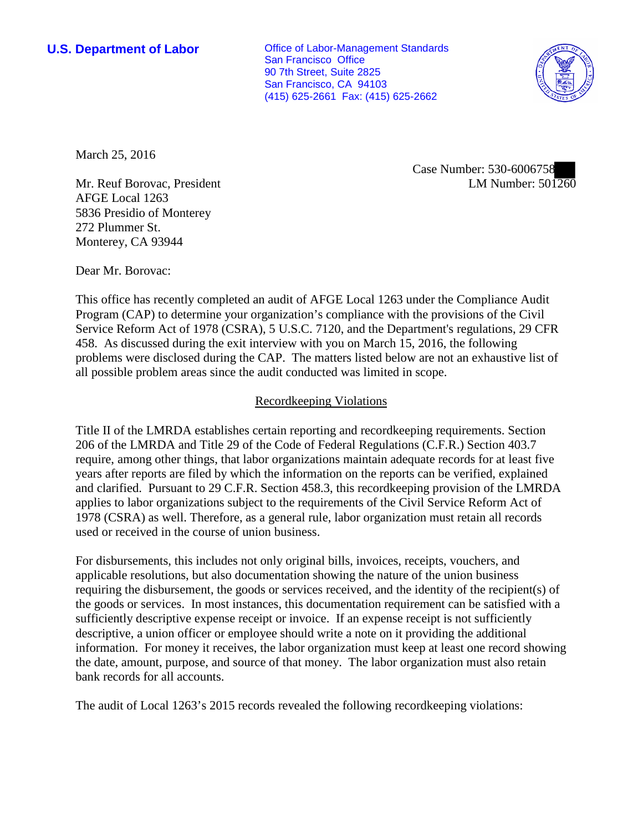**U.S. Department of Labor Conservative Conservative Conservative Conservative Conservative Conservative Conservative Conservative Conservative Conservative Conservative Conservative Conservative Conservative Conservative** San Francisco Office 90 7th Street, Suite 2825 San Francisco, CA 94103 (415) 625-2661 Fax: (415) 625-2662



March 25, 2016

Case Number: 530-6006758 LM Number: 501260

Mr. Reuf Borovac, President AFGE Local 1263 5836 Presidio of Monterey 272 Plummer St. Monterey, CA 93944

Dear Mr. Borovac:

This office has recently completed an audit of AFGE Local 1263 under the Compliance Audit Program (CAP) to determine your organization's compliance with the provisions of the Civil Service Reform Act of 1978 (CSRA), 5 U.S.C. 7120, and the Department's regulations, 29 CFR 458. As discussed during the exit interview with you on March 15, 2016, the following problems were disclosed during the CAP. The matters listed below are not an exhaustive list of all possible problem areas since the audit conducted was limited in scope.

## Recordkeeping Violations

Title II of the LMRDA establishes certain reporting and recordkeeping requirements. Section 206 of the LMRDA and Title 29 of the Code of Federal Regulations (C.F.R.) Section 403.7 require, among other things, that labor organizations maintain adequate records for at least five years after reports are filed by which the information on the reports can be verified, explained and clarified. Pursuant to 29 C.F.R. Section 458.3, this recordkeeping provision of the LMRDA applies to labor organizations subject to the requirements of the Civil Service Reform Act of 1978 (CSRA) as well. Therefore, as a general rule, labor organization must retain all records used or received in the course of union business.

For disbursements, this includes not only original bills, invoices, receipts, vouchers, and applicable resolutions, but also documentation showing the nature of the union business requiring the disbursement, the goods or services received, and the identity of the recipient(s) of the goods or services. In most instances, this documentation requirement can be satisfied with a sufficiently descriptive expense receipt or invoice. If an expense receipt is not sufficiently descriptive, a union officer or employee should write a note on it providing the additional information. For money it receives, the labor organization must keep at least one record showing the date, amount, purpose, and source of that money. The labor organization must also retain bank records for all accounts.

The audit of Local 1263's 2015 records revealed the following recordkeeping violations: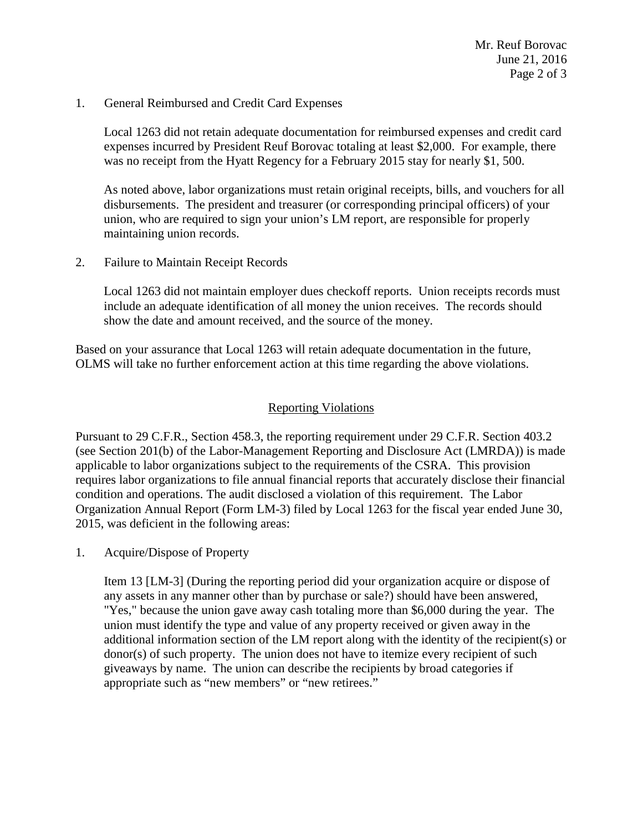Mr. Reuf Borovac June 21, 2016 Page 2 of 3

1. General Reimbursed and Credit Card Expenses

Local 1263 did not retain adequate documentation for reimbursed expenses and credit card expenses incurred by President Reuf Borovac totaling at least \$2,000. For example, there was no receipt from the Hyatt Regency for a February 2015 stay for nearly \$1, 500.

As noted above, labor organizations must retain original receipts, bills, and vouchers for all disbursements. The president and treasurer (or corresponding principal officers) of your union, who are required to sign your union's LM report, are responsible for properly maintaining union records.

2. Failure to Maintain Receipt Records

Local 1263 did not maintain employer dues checkoff reports. Union receipts records must include an adequate identification of all money the union receives. The records should show the date and amount received, and the source of the money.

Based on your assurance that Local 1263 will retain adequate documentation in the future, OLMS will take no further enforcement action at this time regarding the above violations.

## Reporting Violations

Pursuant to 29 C.F.R., Section 458.3, the reporting requirement under 29 C.F.R. Section 403.2 (see Section 201(b) of the Labor-Management Reporting and Disclosure Act (LMRDA)) is made applicable to labor organizations subject to the requirements of the CSRA. This provision requires labor organizations to file annual financial reports that accurately disclose their financial condition and operations. The audit disclosed a violation of this requirement. The Labor Organization Annual Report (Form LM-3) filed by Local 1263 for the fiscal year ended June 30, 2015, was deficient in the following areas:

1. Acquire/Dispose of Property

Item 13 [LM-3] (During the reporting period did your organization acquire or dispose of any assets in any manner other than by purchase or sale?) should have been answered, "Yes," because the union gave away cash totaling more than \$6,000 during the year. The union must identify the type and value of any property received or given away in the additional information section of the LM report along with the identity of the recipient(s) or donor(s) of such property. The union does not have to itemize every recipient of such giveaways by name. The union can describe the recipients by broad categories if appropriate such as "new members" or "new retirees."